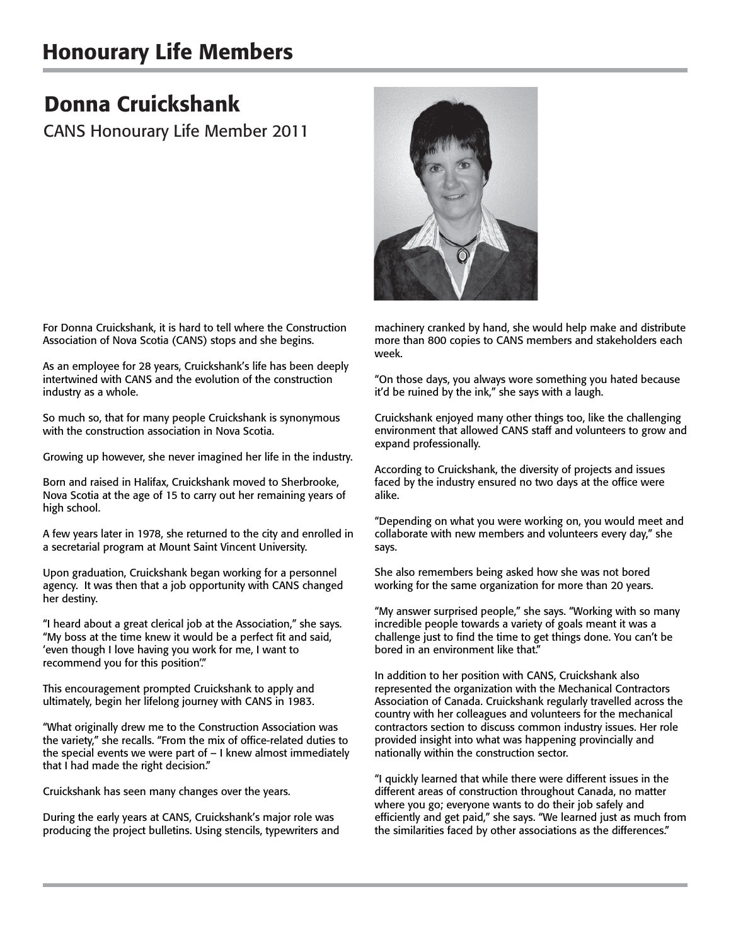## Honourary Life Members

## Donna Cruickshank

CANS Honourary Life Member 2011



For Donna Cruickshank, it is hard to tell where the Construction Association of Nova Scotia (CANS) stops and she begins.

As an employee for 28 years, Cruickshank's life has been deeply intertwined with CANS and the evolution of the construction industry as a whole.

So much so, that for many people Cruickshank is synonymous with the construction association in Nova Scotia.

Growing up however, she never imagined her life in the industry.

Born and raised in Halifax, Cruickshank moved to Sherbrooke, Nova Scotia at the age of 15 to carry out her remaining years of high school.

A few years later in 1978, she returned to the city and enrolled in a secretarial program at Mount Saint Vincent University.

Upon graduation, Cruickshank began working for a personnel agency. It was then that a job opportunity with CANS changed her destiny.

"I heard about a great clerical job at the Association," she says. "My boss at the time knew it would be a perfect fit and said, 'even though I love having you work for me, I want to recommend you for this position'."

This encouragement prompted Cruickshank to apply and ultimately, begin her lifelong journey with CANS in 1983.

"What originally drew me to the Construction Association was the variety," she recalls. "From the mix of office-related duties to the special events we were part of – I knew almost immediately that I had made the right decision."

Cruickshank has seen many changes over the years.

During the early years at CANS, Cruickshank's major role was producing the project bulletins. Using stencils, typewriters and machinery cranked by hand, she would help make and distribute more than 800 copies to CANS members and stakeholders each week.

"On those days, you always wore something you hated because it'd be ruined by the ink," she says with a laugh.

Cruickshank enjoyed many other things too, like the challenging environment that allowed CANS staff and volunteers to grow and expand professionally.

According to Cruickshank, the diversity of projects and issues faced by the industry ensured no two days at the office were alike.

"Depending on what you were working on, you would meet and collaborate with new members and volunteers every day," she says.

She also remembers being asked how she was not bored working for the same organization for more than 20 years.

"My answer surprised people," she says. "Working with so many incredible people towards a variety of goals meant it was a challenge just to find the time to get things done. You can't be bored in an environment like that."

In addition to her position with CANS, Cruickshank also represented the organization with the Mechanical Contractors Association of Canada. Cruickshank regularly travelled across the country with her colleagues and volunteers for the mechanical contractors section to discuss common industry issues. Her role provided insight into what was happening provincially and nationally within the construction sector.

"I quickly learned that while there were different issues in the different areas of construction throughout Canada, no matter where you go; everyone wants to do their job safely and efficiently and get paid," she says. "We learned just as much from the similarities faced by other associations as the differences."